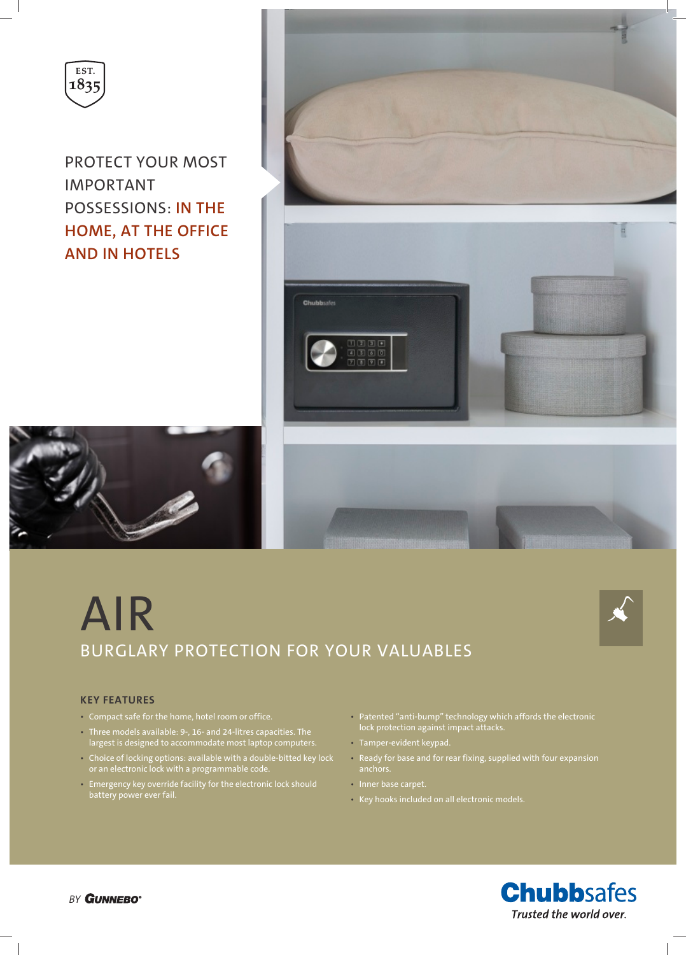

PROTECT YOUR MOST IMPORTANT POSSESSIONS: **IN THE HOME, AT THE OFFICE AND IN HOTELS**



# AIR BURGLARY PROTECTION FOR YOUR VALUABLES



## **KEY FEATURES**

- Compact safe for the home, hotel room or office.
- Three models available: 9-, 16- and 24-litres capacities. The largest is designed to accommodate most laptop computers.
- Choice of locking options: available with a double-bitted key lock or an electronic lock with a programmable code.
- Emergency key override facility for the electronic lock should battery power ever fail.
- Patented "anti-bump" technology which affords the electronic lock protection against impact attacks.
- Tamper-evident keypad.
- Ready for base and for rear fixing, supplied with four expansion anchors.
- Inner base carpet.
- Key hooks included on all electronic models.